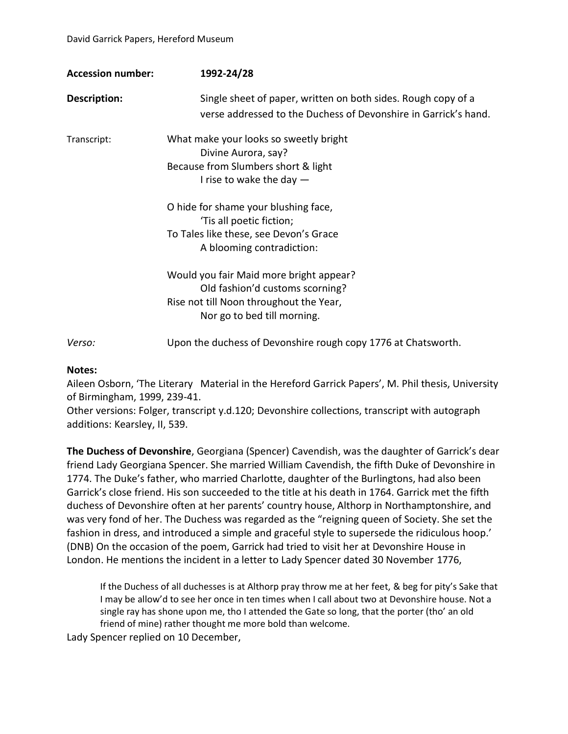| <b>Accession number:</b> | 1992-24/28                                                                                                                                           |
|--------------------------|------------------------------------------------------------------------------------------------------------------------------------------------------|
| Description:             | Single sheet of paper, written on both sides. Rough copy of a<br>verse addressed to the Duchess of Devonshire in Garrick's hand.                     |
| Transcript:              | What make your looks so sweetly bright<br>Divine Aurora, say?<br>Because from Slumbers short & light<br>I rise to wake the day $-$                   |
|                          | O hide for shame your blushing face,<br>'Tis all poetic fiction;<br>To Tales like these, see Devon's Grace<br>A blooming contradiction:              |
|                          | Would you fair Maid more bright appear?<br>Old fashion'd customs scorning?<br>Rise not till Noon throughout the Year,<br>Nor go to bed till morning. |
| Verso:                   | Upon the duchess of Devonshire rough copy 1776 at Chatsworth.                                                                                        |

## **Notes:**

Aileen Osborn, 'The Literary Material in the Hereford Garrick Papers', M. Phil thesis, University of Birmingham, 1999, 239-41.

Other versions: Folger, transcript y.d.120; Devonshire collections, transcript with autograph additions: Kearsley, II, 539.

**The Duchess of Devonshire**, Georgiana (Spencer) Cavendish, was the daughter of Garrick's dear friend Lady Georgiana Spencer. She married William Cavendish, the fifth Duke of Devonshire in 1774. The Duke's father, who married Charlotte, daughter of the Burlingtons, had also been Garrick's close friend. His son succeeded to the title at his death in 1764. Garrick met the fifth duchess of Devonshire often at her parents' country house, Althorp in Northamptonshire, and was very fond of her. The Duchess was regarded as the "reigning queen of Society. She set the fashion in dress, and introduced a simple and graceful style to supersede the ridiculous hoop.' (DNB) On the occasion of the poem, Garrick had tried to visit her at Devonshire House in London. He mentions the incident in a letter to Lady Spencer dated 30 November 1776,

If the Duchess of all duchesses is at Althorp pray throw me at her feet, & beg for pity's Sake that I may be allow'd to see her once in ten times when I call about two at Devonshire house. Not a single ray has shone upon me, tho I attended the Gate so long, that the porter (tho' an old friend of mine) rather thought me more bold than welcome.

Lady Spencer replied on 10 December,